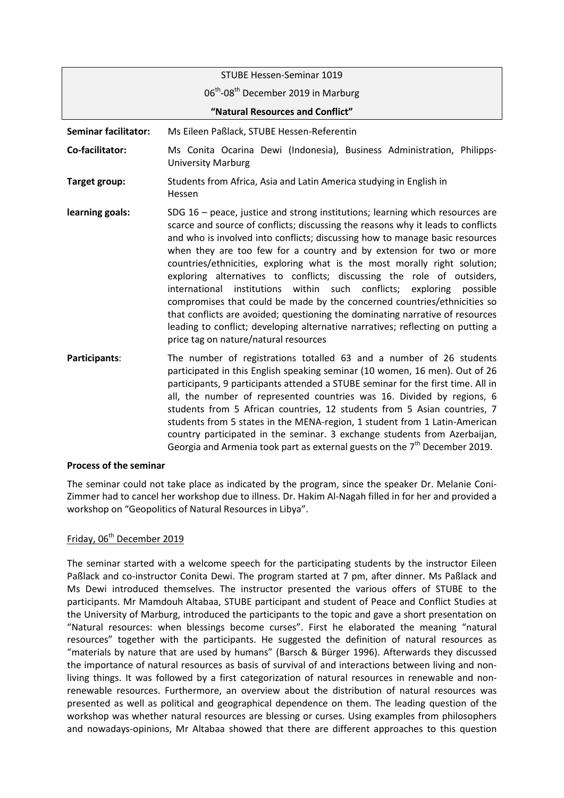|                                  | STUBE Hessen-Seminar 1019                                                                                                                                                                                                                                                                                                                                                                                                                                                                                                                                                                                                                                                                                                                                                                                                                                    |
|----------------------------------|--------------------------------------------------------------------------------------------------------------------------------------------------------------------------------------------------------------------------------------------------------------------------------------------------------------------------------------------------------------------------------------------------------------------------------------------------------------------------------------------------------------------------------------------------------------------------------------------------------------------------------------------------------------------------------------------------------------------------------------------------------------------------------------------------------------------------------------------------------------|
|                                  | 06 <sup>th</sup> -08 <sup>th</sup> December 2019 in Marburg                                                                                                                                                                                                                                                                                                                                                                                                                                                                                                                                                                                                                                                                                                                                                                                                  |
| "Natural Resources and Conflict" |                                                                                                                                                                                                                                                                                                                                                                                                                                                                                                                                                                                                                                                                                                                                                                                                                                                              |
| <b>Seminar facilitator:</b>      | Ms Eileen Paßlack, STUBE Hessen-Referentin                                                                                                                                                                                                                                                                                                                                                                                                                                                                                                                                                                                                                                                                                                                                                                                                                   |
| Co-facilitator:                  | Ms Conita Ocarina Dewi (Indonesia), Business Administration, Philipps-<br><b>University Marburg</b>                                                                                                                                                                                                                                                                                                                                                                                                                                                                                                                                                                                                                                                                                                                                                          |
| Target group:                    | Students from Africa, Asia and Latin America studying in English in<br>Hessen                                                                                                                                                                                                                                                                                                                                                                                                                                                                                                                                                                                                                                                                                                                                                                                |
| learning goals:                  | SDG $16$ – peace, justice and strong institutions; learning which resources are<br>scarce and source of conflicts; discussing the reasons why it leads to conflicts<br>and who is involved into conflicts; discussing how to manage basic resources<br>when they are too few for a country and by extension for two or more<br>countries/ethnicities, exploring what is the most morally right solution;<br>exploring alternatives to conflicts; discussing the role of outsiders,<br>within such conflicts; exploring<br>international<br>institutions<br>possible<br>compromises that could be made by the concerned countries/ethnicities so<br>that conflicts are avoided; questioning the dominating narrative of resources<br>leading to conflict; developing alternative narratives; reflecting on putting a<br>price tag on nature/natural resources |
| Participants:                    | The number of registrations totalled 63 and a number of 26 students<br>participated in this English speaking seminar (10 women, 16 men). Out of 26<br>participants, 9 participants attended a STUBE seminar for the first time. All in<br>all, the number of represented countries was 16. Divided by regions, 6                                                                                                                                                                                                                                                                                                                                                                                                                                                                                                                                             |

students from 5 African countries, 12 students from 5 Asian countries, 7 students from 5 states in the MENA-region, 1 student from 1 Latin-American country participated in the seminar. 3 exchange students from Azerbaijan, Georgia and Armenia took part as external guests on the  $7<sup>th</sup>$  December 2019.

### **Process of the seminar**

The seminar could not take place as indicated by the program, since the speaker Dr. Melanie Coni-Zimmer had to cancel her workshop due to illness. Dr. Hakim Al-Nagah filled in for her and provided a workshop on "Geopolitics of Natural Resources in Libya".

## Friday, 06<sup>th</sup> December 2019

The seminar started with a welcome speech for the participating students by the instructor Eileen Paßlack and co-instructor Conita Dewi. The program started at 7 pm, after dinner. Ms Paßlack and Ms Dewi introduced themselves. The instructor presented the various offers of STUBE to the participants. Mr Mamdouh Altabaa, STUBE participant and student of Peace and Conflict Studies at the University of Marburg, introduced the participants to the topic and gave a short presentation on "Natural resources: when blessings become curses". First he elaborated the meaning "natural resources" together with the participants. He suggested the definition of natural resources as "materials by nature that are used by humans" (Barsch & Bürger 1996). Afterwards they discussed the importance of natural resources as basis of survival of and interactions between living and nonliving things. It was followed by a first categorization of natural resources in renewable and nonrenewable resources. Furthermore, an overview about the distribution of natural resources was presented as well as political and geographical dependence on them. The leading question of the workshop was whether natural resources are blessing or curses. Using examples from philosophers and nowadays-opinions, Mr Altabaa showed that there are different approaches to this question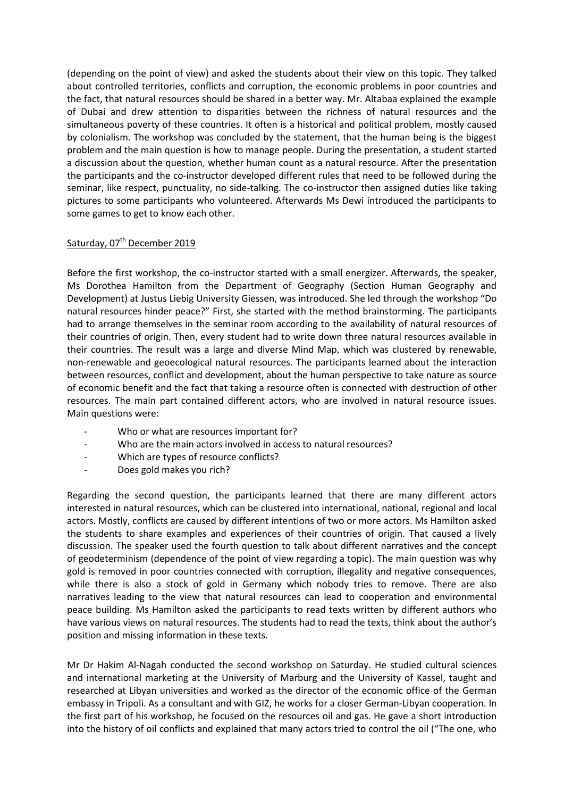(depending on the point of view) and asked the students about their view on this topic. They talked about controlled territories, conflicts and corruption, the economic problems in poor countries and the fact, that natural resources should be shared in a better way. Mr. Altabaa explained the example of Dubai and drew attention to disparities between the richness of natural resources and the simultaneous poverty of these countries. It often is a historical and political problem, mostly caused by colonialism. The workshop was concluded by the statement, that the human being is the biggest problem and the main question is how to manage people. During the presentation, a student started a discussion about the question, whether human count as a natural resource. After the presentation the participants and the co-instructor developed different rules that need to be followed during the seminar, like respect, punctuality, no side-talking. The co-instructor then assigned duties like taking pictures to some participants who volunteered. Afterwards Ms Dewi introduced the participants to some games to get to know each other.

# Saturday, 07<sup>th</sup> December 2019

Before the first workshop, the co-instructor started with a small energizer. Afterwards, the speaker, Ms Dorothea Hamilton from the Department of Geography (Section Human Geography and Development) at Justus Liebig University Giessen, was introduced. She led through the workshop "Do natural resources hinder peace?" First, she started with the method brainstorming. The participants had to arrange themselves in the seminar room according to the availability of natural resources of their countries of origin. Then, every student had to write down three natural resources available in their countries. The result was a large and diverse Mind Map, which was clustered by renewable, non-renewable and geoecological natural resources. The participants learned about the interaction between resources, conflict and development, about the human perspective to take nature as source of economic benefit and the fact that taking a resource often is connected with destruction of other resources. The main part contained different actors, who are involved in natural resource issues. Main questions were:

- Who or what are resources important for?
- Who are the main actors involved in access to natural resources?
- Which are types of resource conflicts?
- Does gold makes you rich?

Regarding the second question, the participants learned that there are many different actors interested in natural resources, which can be clustered into international, national, regional and local actors. Mostly, conflicts are caused by different intentions of two or more actors. Ms Hamilton asked the students to share examples and experiences of their countries of origin. That caused a lively discussion. The speaker used the fourth question to talk about different narratives and the concept of geodeterminism (dependence of the point of view regarding a topic). The main question was why gold is removed in poor countries connected with corruption, illegality and negative consequences, while there is also a stock of gold in Germany which nobody tries to remove. There are also narratives leading to the view that natural resources can lead to cooperation and environmental peace building. Ms Hamilton asked the participants to read texts written by different authors who have various views on natural resources. The students had to read the texts, think about the author's position and missing information in these texts.

Mr Dr Hakim Al-Nagah conducted the second workshop on Saturday. He studied cultural sciences and international marketing at the University of Marburg and the University of Kassel, taught and researched at Libyan universities and worked as the director of the economic office of the German embassy in Tripoli. As a consultant and with GIZ, he works for a closer German-Libyan cooperation. In the first part of his workshop, he focused on the resources oil and gas. He gave a short introduction into the history of oil conflicts and explained that many actors tried to control the oil ("The one, who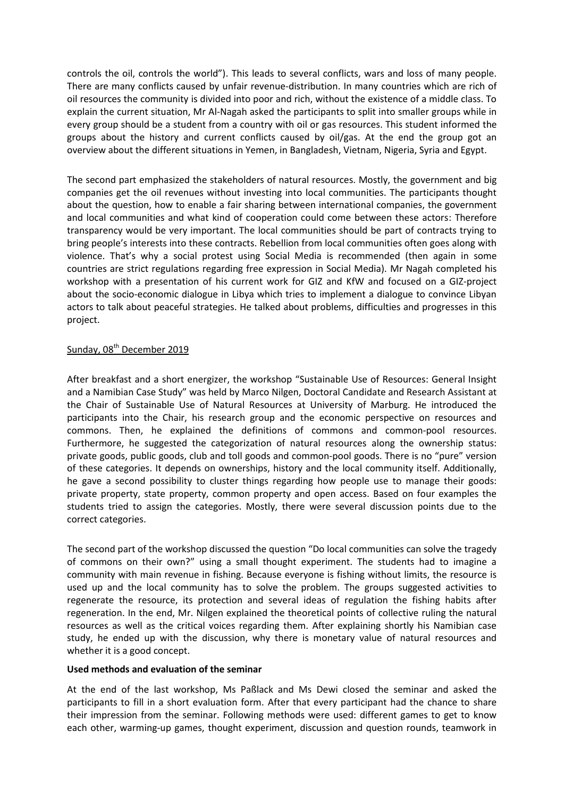controls the oil, controls the world"). This leads to several conflicts, wars and loss of many people. There are many conflicts caused by unfair revenue-distribution. In many countries which are rich of oil resources the community is divided into poor and rich, without the existence of a middle class. To explain the current situation, Mr Al-Nagah asked the participants to split into smaller groups while in every group should be a student from a country with oil or gas resources. This student informed the groups about the history and current conflicts caused by oil/gas. At the end the group got an overview about the different situations in Yemen, in Bangladesh, Vietnam, Nigeria, Syria and Egypt.

The second part emphasized the stakeholders of natural resources. Mostly, the government and big companies get the oil revenues without investing into local communities. The participants thought about the question, how to enable a fair sharing between international companies, the government and local communities and what kind of cooperation could come between these actors: Therefore transparency would be very important. The local communities should be part of contracts trying to bring people's interests into these contracts. Rebellion from local communities often goes along with violence. That's why a social protest using Social Media is recommended (then again in some countries are strict regulations regarding free expression in Social Media). Mr Nagah completed his workshop with a presentation of his current work for GIZ and KfW and focused on a GIZ-project about the socio-economic dialogue in Libya which tries to implement a dialogue to convince Libyan actors to talk about peaceful strategies. He talked about problems, difficulties and progresses in this project.

# Sunday, 08<sup>th</sup> December 2019

After breakfast and a short energizer, the workshop "Sustainable Use of Resources: General Insight and a Namibian Case Study" was held by Marco Nilgen, Doctoral Candidate and Research Assistant at the Chair of Sustainable Use of Natural Resources at University of Marburg. He introduced the participants into the Chair, his research group and the economic perspective on resources and commons. Then, he explained the definitions of commons and common-pool resources. Furthermore, he suggested the categorization of natural resources along the ownership status: private goods, public goods, club and toll goods and common-pool goods. There is no "pure" version of these categories. It depends on ownerships, history and the local community itself. Additionally, he gave a second possibility to cluster things regarding how people use to manage their goods: private property, state property, common property and open access. Based on four examples the students tried to assign the categories. Mostly, there were several discussion points due to the correct categories.

The second part of the workshop discussed the question "Do local communities can solve the tragedy of commons on their own?" using a small thought experiment. The students had to imagine a community with main revenue in fishing. Because everyone is fishing without limits, the resource is used up and the local community has to solve the problem. The groups suggested activities to regenerate the resource, its protection and several ideas of regulation the fishing habits after regeneration. In the end, Mr. Nilgen explained the theoretical points of collective ruling the natural resources as well as the critical voices regarding them. After explaining shortly his Namibian case study, he ended up with the discussion, why there is monetary value of natural resources and whether it is a good concept.

### **Used methods and evaluation of the seminar**

At the end of the last workshop, Ms Paßlack and Ms Dewi closed the seminar and asked the participants to fill in a short evaluation form. After that every participant had the chance to share their impression from the seminar. Following methods were used: different games to get to know each other, warming-up games, thought experiment, discussion and question rounds, teamwork in